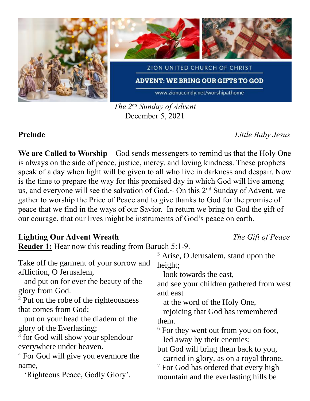

#### *The 2 nd Sunday of Advent* December 5, 2021

**Prelude** *Little Baby Jesus*

**We are Called to Worship** – God sends messengers to remind us that the Holy One is always on the side of peace, justice, mercy, and loving kindness. These prophets speak of a day when light will be given to all who live in darkness and despair. Now is the time to prepare the way for this promised day in which God will live among us, and everyone will see the salvation of God. $\sim$  On this 2<sup>nd</sup> Sunday of Advent, we gather to worship the Price of Peace and to give thanks to God for the promise of peace that we find in the ways of our Savior. In return we bring to God the gift of our courage, that our lives might be instruments of God's peace on earth.

## **Lighting Our Advent Wreath** *The Gift of Peace*

**Reader 1:** Hear now this reading from Baruch 5:1-9.

| $5$ Arise, O Jerusalem, stand upon the            |
|---------------------------------------------------|
| height;                                           |
| look towards the east,                            |
| and see your children gathered from west          |
| and east                                          |
| at the word of the Holy One,                      |
| rejoicing that God has remembered                 |
| them.                                             |
| $6$ For they went out from you on foot,           |
| led away by their enemies;                        |
| but God will bring them back to you,              |
| carried in glory, as on a royal throne.           |
| $\frac{7}{7}$ For God has ordered that every high |
| mountain and the everlasting hills be             |
|                                                   |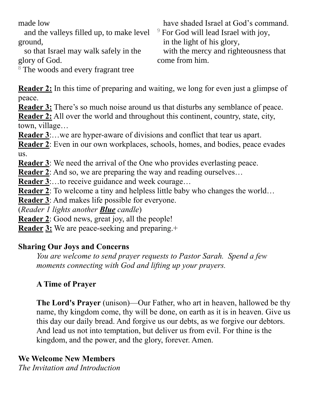made low

 and the valleys filled up, to make level ground,

 so that Israel may walk safely in the glory of God.

have shaded Israel at God's command.

 $9$  For God will lead Israel with joy, in the light of his glory, with the mercy and righteousness that come from him.

<sup>8</sup> The woods and every fragrant tree

**Reader 2:** In this time of preparing and waiting, we long for even just a glimpse of peace.

**Reader 3:** There's so much noise around us that disturbs any semblance of peace. **Reader 2:** All over the world and throughout this continent, country, state, city, town, village…

**Reader 3**:…we are hyper-aware of divisions and conflict that tear us apart.

**Reader 2**: Even in our own workplaces, schools, homes, and bodies, peace evades us.

**Reader 3**: We need the arrival of the One who provides everlasting peace.

**Reader 2**: And so, we are preparing the way and reading ourselves...

**Reader 3**:…to receive guidance and week courage…

**Reader 2**: To welcome a tiny and helpless little baby who changes the world...

**Reader 3**: And makes life possible for everyone.

(*Reader 1 lights another Blue candle*)

**Reader 2**: Good news, great joy, all the people!

**Reader 3:** We are peace-seeking and preparing.+

# **Sharing Our Joys and Concerns**

*You are welcome to send prayer requests to Pastor Sarah. Spend a few moments connecting with God and lifting up your prayers.*

# **A Time of Prayer**

**The Lord's Prayer** (unison)—Our Father, who art in heaven, hallowed be thy name, thy kingdom come, thy will be done, on earth as it is in heaven. Give us this day our daily bread. And forgive us our debts, as we forgive our debtors. And lead us not into temptation, but deliver us from evil. For thine is the kingdom, and the power, and the glory, forever. Amen.

# **We Welcome New Members**

*The Invitation and Introduction*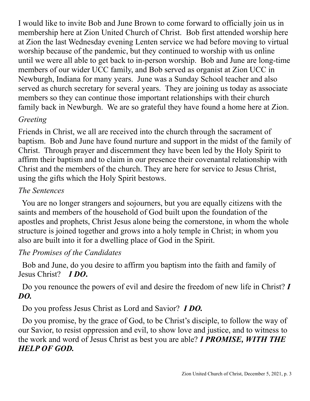I would like to invite Bob and June Brown to come forward to officially join us in membership here at Zion United Church of Christ. Bob first attended worship here at Zion the last Wednesday evening Lenten service we had before moving to virtual worship because of the pandemic, but they continued to worship with us online until we were all able to get back to in-person worship. Bob and June are long-time members of our wider UCC family, and Bob served as organist at Zion UCC in Newburgh, Indiana for many years. June was a Sunday School teacher and also served as church secretary for several years. They are joining us today as associate members so they can continue those important relationships with their church family back in Newburgh. We are so grateful they have found a home here at Zion.

# *Greeting*

Friends in Christ, we all are received into the church through the sacrament of baptism. Bob and June have found nurture and support in the midst of the family of Christ. Through prayer and discernment they have been led by the Holy Spirit to affirm their baptism and to claim in our presence their covenantal relationship with Christ and the members of the church. They are here for service to Jesus Christ, using the gifts which the Holy Spirit bestows.

# *The Sentences*

 You are no longer strangers and sojourners, but you are equally citizens with the saints and members of the household of God built upon the foundation of the apostles and prophets, Christ Jesus alone being the cornerstone, in whom the whole structure is joined together and grows into a holy temple in Christ; in whom you also are built into it for a dwelling place of God in the Spirit.

# *The Promises of the Candidates*

 Bob and June, do you desire to affirm you baptism into the faith and family of Jesus Christ? *I DO***.**

Do you renounce the powers of evil and desire the freedom of new life in Christ? *I DO.*

Do you profess Jesus Christ as Lord and Savior? *I DO.*

 Do you promise, by the grace of God, to be Christ's disciple, to follow the way of our Savior, to resist oppression and evil, to show love and justice, and to witness to the work and word of Jesus Christ as best you are able? *I PROMISE, WITH THE HELP OF GOD.*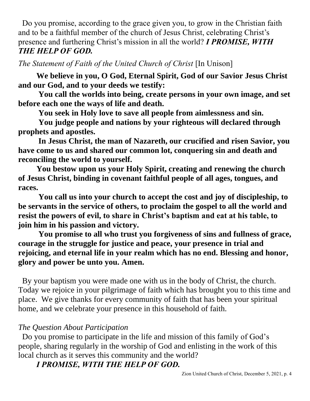Do you promise, according to the grace given you, to grow in the Christian faith and to be a faithful member of the church of Jesus Christ, celebrating Christ's presence and furthering Christ's mission in all the world? *I PROMISE, WITH THE HELP OF GOD.*

*The Statement of Faith of the United Church of Christ* [In Unison]

**We believe in you, O God, Eternal Spirit, God of our Savior Jesus Christ and our God, and to your deeds we testify:**

 **You call the worlds into being, create persons in your own image, and set before each one the ways of life and death.**

 **You seek in Holy love to save all people from aimlessness and sin.**

 **You judge people and nations by your righteous will declared through prophets and apostles.**

 **In Jesus Christ, the man of Nazareth, our crucified and risen Savior, you have come to us and shared our common lot, conquering sin and death and reconciling the world to yourself.**

**You bestow upon us your Holy Spirit, creating and renewing the church of Jesus Christ, binding in covenant faithful people of all ages, tongues, and races.**

 **You call us into your church to accept the cost and joy of discipleship, to be servants in the service of others, to proclaim the gospel to all the world and resist the powers of evil, to share in Christ's baptism and eat at his table, to join him in his passion and victory.**

 **You promise to all who trust you forgiveness of sins and fullness of grace, courage in the struggle for justice and peace, your presence in trial and rejoicing, and eternal life in your realm which has no end. Blessing and honor, glory and power be unto you. Amen.**

 By your baptism you were made one with us in the body of Christ, the church. Today we rejoice in your pilgrimage of faith which has brought you to this time and place. We give thanks for every community of faith that has been your spiritual home, and we celebrate your presence in this household of faith.

## *The Question About Participation*

 Do you promise to participate in the life and mission of this family of God's people, sharing regularly in the worship of God and enlisting in the work of this local church as it serves this community and the world?

# *I PROMISE, WITH THE HELP OF GOD.*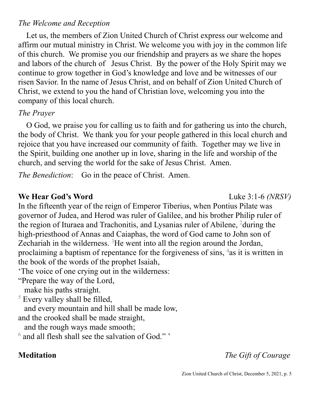### *The Welcome and Reception*

 Let us, the members of Zion United Church of Christ express our welcome and affirm our mutual ministry in Christ. We welcome you with joy in the common life of this church. We promise you our friendship and prayers as we share the hopes and labors of the church of Jesus Christ. By the power of the Holy Spirit may we continue to grow together in God's knowledge and love and be witnesses of our risen Savior. In the name of Jesus Christ, and on behalf of Zion United Church of Christ, we extend to you the hand of Christian love, welcoming you into the company of this local church.

#### *The Prayer*

 O God, we praise you for calling us to faith and for gathering us into the church, the body of Christ. We thank you for your people gathered in this local church and rejoice that you have increased our community of faith. Together may we live in the Spirit, building one another up in love, sharing in the life and worship of the church, and serving the world for the sake of Jesus Christ. Amen.

*The Benediction*: Go in the peace of Christ. Amen.

#### **We Hear God's Word** Luke 3:1-6 *(NRSV)*

In the fifteenth year of the reign of Emperor Tiberius, when Pontius Pilate was governor of Judea, and Herod was ruler of Galilee, and his brother Philip ruler of the region of Ituraea and Trachonitis, and Lysanias ruler of Abilene, <sup>2</sup>during the high-priesthood of Annas and Caiaphas, the word of God came to John son of Zechariah in the wilderness.  ${}^{3}$ He went into all the region around the Jordan, proclaiming a baptism of repentance for the forgiveness of sins, <sup>4</sup> as it is written in the book of the words of the prophet Isaiah,

'The voice of one crying out in the wilderness:

"Prepare the way of the Lord,

make his paths straight.

 $<sup>5</sup>$  Every valley shall be filled,</sup>

and every mountain and hill shall be made low,

and the crooked shall be made straight,

and the rough ways made smooth;

 $6$  and all flesh shall see the salvation of God."

## **Meditation** *The Gift of Courage*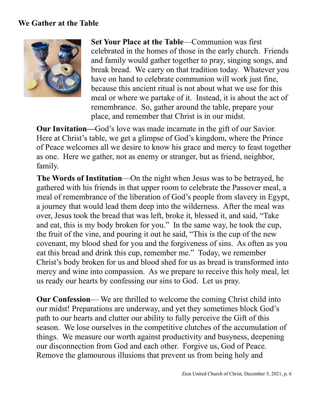### **We Gather at the Table**



**Set Your Place at the Table**—Communion was first celebrated in the homes of those in the early church. Friends and family would gather together to pray, singing songs, and break bread. We carry on that tradition today. Whatever you have on hand to celebrate communion will work just fine, because this ancient ritual is not about what we use for this meal or where we partake of it. Instead, it is about the act of remembrance. So, gather around the table, prepare your place, and remember that Christ is in our midst.

**Our Invitation—**God's love was made incarnate in the gift of our Savior. Here at Christ's table, we get a glimpse of God's kingdom, where the Prince of Peace welcomes all we desire to know his grace and mercy to feast together as one. Here we gather, not as enemy or stranger, but as friend, neighbor, family.

**The Words of Institution**—On the night when Jesus was to be betrayed, he gathered with his friends in that upper room to celebrate the Passover meal, a meal of remembrance of the liberation of God's people from slavery in Egypt, a journey that would lead them deep into the wilderness. After the meal was over, Jesus took the bread that was left, broke it, blessed it, and said, "Take and eat, this is my body broken for you." In the same way, he took the cup, the fruit of the vine, and pouring it out he said, "This is the cup of the new covenant, my blood shed for you and the forgiveness of sins. As often as you eat this bread and drink this cup, remember me." Today, we remember Christ's body broken for us and blood shed for us as bread is transformed into mercy and wine into compassion. As we prepare to receive this holy meal, let us ready our hearts by confessing our sins to God. Let us pray.

**Our Confession**— We are thrilled to welcome the coming Christ child into our midst! Preparations are underway, and yet they sometimes block God's path to our hearts and clutter our ability to fully perceive the Gift of this season. We lose ourselves in the competitive clutches of the accumulation of things. We measure our worth against productivity and busyness, deepening our disconnection from God and each other. Forgive us, God of Peace. Remove the glamourous illusions that prevent us from being holy and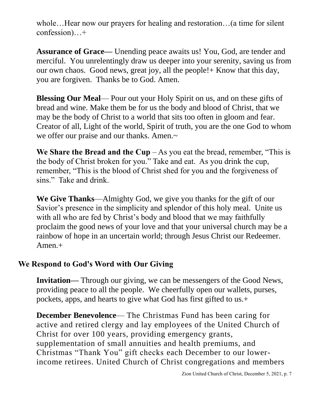whole…Hear now our prayers for healing and restoration…(a time for silent confession)…+

**Assurance of Grace—** Unending peace awaits us! You, God, are tender and merciful. You unrelentingly draw us deeper into your serenity, saving us from our own chaos. Good news, great joy, all the people!+ Know that this day, you are forgiven. Thanks be to God. Amen.

**Blessing Our Meal**— Pour out your Holy Spirit on us, and on these gifts of bread and wine. Make them be for us the body and blood of Christ, that we may be the body of Christ to a world that sits too often in gloom and fear. Creator of all, Light of the world, Spirit of truth, you are the one God to whom we offer our praise and our thanks. Amen.~

**We Share the Bread and the Cup**  $-$  As you eat the bread, remember, "This is the body of Christ broken for you." Take and eat. As you drink the cup, remember, "This is the blood of Christ shed for you and the forgiveness of sins." Take and drink.

**We Give Thanks**—Almighty God, we give you thanks for the gift of our Savior's presence in the simplicity and splendor of this holy meal. Unite us with all who are fed by Christ's body and blood that we may faithfully proclaim the good news of your love and that your universal church may be a rainbow of hope in an uncertain world; through Jesus Christ our Redeemer. Amen.+

## **We Respond to God's Word with Our Giving**

**Invitation—** Through our giving, we can be messengers of the Good News, providing peace to all the people. We cheerfully open our wallets, purses, pockets, apps, and hearts to give what God has first gifted to us.+

**December Benevolence— The Christmas Fund has been caring for** active and retired clergy and lay employees of the United Church of Christ for over 100 years, providing emergency grants, supplementation of small annuities and health premiums, and Christmas "Thank You" gift checks each December to our lowerincome retirees. United Church of Christ congregations and members